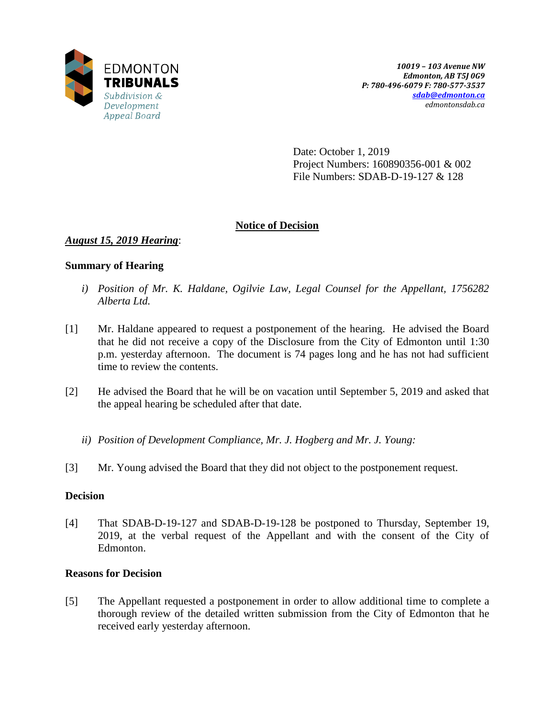

Date: October 1, 2019 Project Numbers: 160890356-001 & 002 File Numbers: SDAB-D-19-127 & 128

# **Notice of Decision**

# *August 15, 2019 Hearing*:

## **Summary of Hearing**

- *i) Position of Mr. K. Haldane, Ogilvie Law, Legal Counsel for the Appellant, 1756282 Alberta Ltd.*
- [1] Mr. Haldane appeared to request a postponement of the hearing. He advised the Board that he did not receive a copy of the Disclosure from the City of Edmonton until 1:30 p.m. yesterday afternoon. The document is 74 pages long and he has not had sufficient time to review the contents.
- [2] He advised the Board that he will be on vacation until September 5, 2019 and asked that the appeal hearing be scheduled after that date.
	- *ii) Position of Development Compliance, Mr. J. Hogberg and Mr. J. Young:*
- [3] Mr. Young advised the Board that they did not object to the postponement request.

## **Decision**

[4] That SDAB-D-19-127 and SDAB-D-19-128 be postponed to Thursday, September 19, 2019, at the verbal request of the Appellant and with the consent of the City of Edmonton.

# **Reasons for Decision**

[5] The Appellant requested a postponement in order to allow additional time to complete a thorough review of the detailed written submission from the City of Edmonton that he received early yesterday afternoon.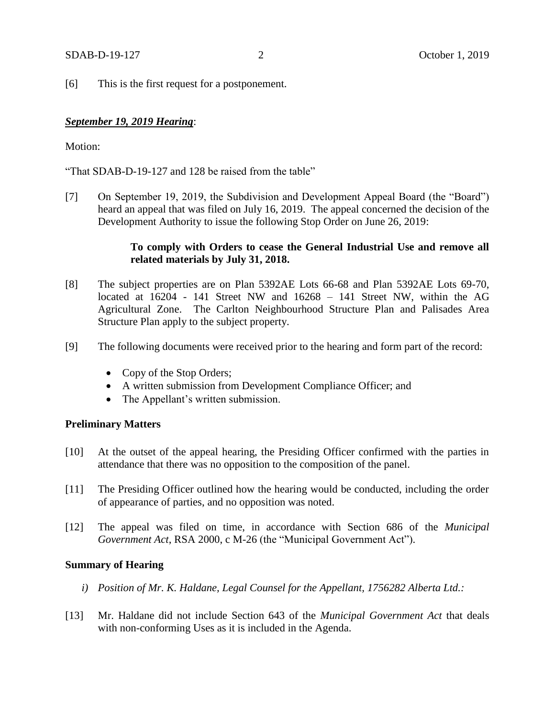[6] This is the first request for a postponement.

## *September 19, 2019 Hearing*:

#### Motion:

"That SDAB-D-19-127 and 128 be raised from the table"

[7] On September 19, 2019, the Subdivision and Development Appeal Board (the "Board") heard an appeal that was filed on July 16, 2019. The appeal concerned the decision of the Development Authority to issue the following Stop Order on June 26, 2019:

# **To comply with Orders to cease the General Industrial Use and remove all related materials by July 31, 2018.**

- [8] The subject properties are on Plan 5392AE Lots 66-68 and Plan 5392AE Lots 69-70, located at 16204 - 141 Street NW and 16268 – 141 Street NW, within the AG Agricultural Zone. The Carlton Neighbourhood Structure Plan and Palisades Area Structure Plan apply to the subject property.
- [9] The following documents were received prior to the hearing and form part of the record:
	- Copy of the Stop Orders;
	- A written submission from Development Compliance Officer; and
	- The Appellant's written submission.

#### **Preliminary Matters**

- [10] At the outset of the appeal hearing, the Presiding Officer confirmed with the parties in attendance that there was no opposition to the composition of the panel.
- [11] The Presiding Officer outlined how the hearing would be conducted, including the order of appearance of parties, and no opposition was noted.
- [12] The appeal was filed on time, in accordance with Section 686 of the *Municipal Government Act*, RSA 2000, c M-26 (the "Municipal Government Act").

#### **Summary of Hearing**

- *i) Position of Mr. K. Haldane, Legal Counsel for the Appellant, 1756282 Alberta Ltd.:*
- [13] Mr. Haldane did not include Section 643 of the *Municipal Government Act* that deals with non-conforming Uses as it is included in the Agenda.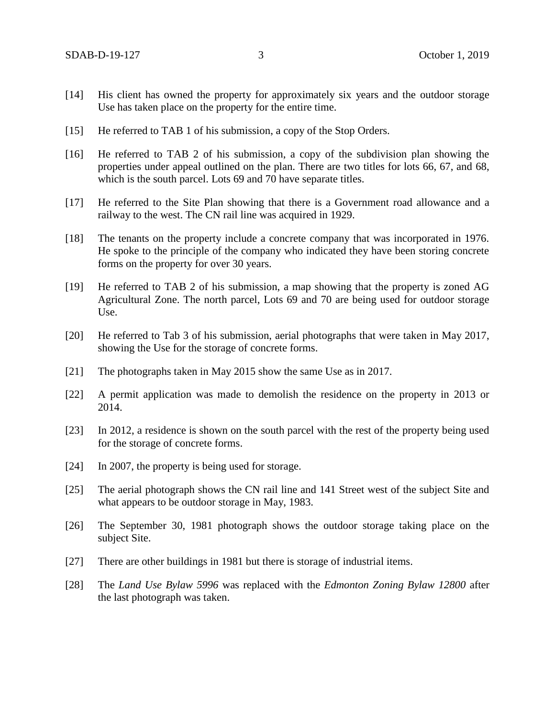- [14] His client has owned the property for approximately six years and the outdoor storage Use has taken place on the property for the entire time.
- [15] He referred to TAB 1 of his submission, a copy of the Stop Orders.
- [16] He referred to TAB 2 of his submission, a copy of the subdivision plan showing the properties under appeal outlined on the plan. There are two titles for lots 66, 67, and 68, which is the south parcel. Lots 69 and 70 have separate titles.
- [17] He referred to the Site Plan showing that there is a Government road allowance and a railway to the west. The CN rail line was acquired in 1929.
- [18] The tenants on the property include a concrete company that was incorporated in 1976. He spoke to the principle of the company who indicated they have been storing concrete forms on the property for over 30 years.
- [19] He referred to TAB 2 of his submission, a map showing that the property is zoned AG Agricultural Zone. The north parcel, Lots 69 and 70 are being used for outdoor storage Use.
- [20] He referred to Tab 3 of his submission, aerial photographs that were taken in May 2017, showing the Use for the storage of concrete forms.
- [21] The photographs taken in May 2015 show the same Use as in 2017.
- [22] A permit application was made to demolish the residence on the property in 2013 or 2014.
- [23] In 2012, a residence is shown on the south parcel with the rest of the property being used for the storage of concrete forms.
- [24] In 2007, the property is being used for storage.
- [25] The aerial photograph shows the CN rail line and 141 Street west of the subject Site and what appears to be outdoor storage in May, 1983.
- [26] The September 30, 1981 photograph shows the outdoor storage taking place on the subject Site.
- [27] There are other buildings in 1981 but there is storage of industrial items.
- [28] The *Land Use Bylaw 5996* was replaced with the *Edmonton Zoning Bylaw 12800* after the last photograph was taken.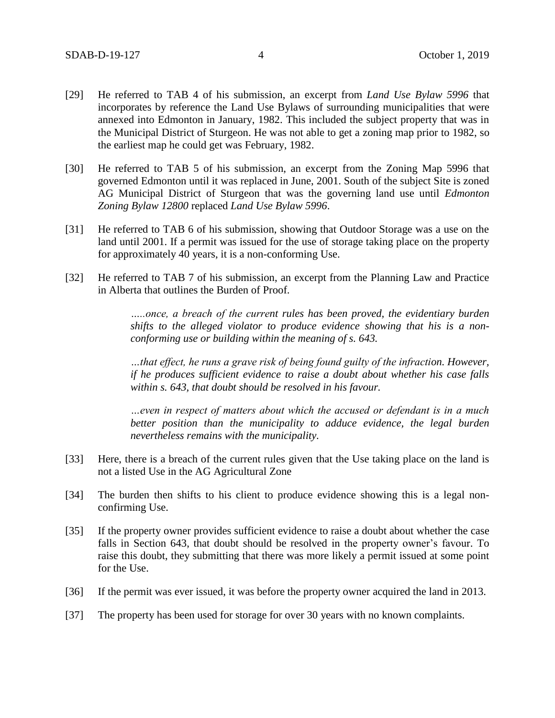- [29] He referred to TAB 4 of his submission, an excerpt from *Land Use Bylaw 5996* that incorporates by reference the Land Use Bylaws of surrounding municipalities that were annexed into Edmonton in January, 1982. This included the subject property that was in the Municipal District of Sturgeon. He was not able to get a zoning map prior to 1982, so the earliest map he could get was February, 1982.
- [30] He referred to TAB 5 of his submission, an excerpt from the Zoning Map 5996 that governed Edmonton until it was replaced in June, 2001. South of the subject Site is zoned AG Municipal District of Sturgeon that was the governing land use until *Edmonton Zoning Bylaw 12800* replaced *Land Use Bylaw 5996*.
- [31] He referred to TAB 6 of his submission, showing that Outdoor Storage was a use on the land until 2001. If a permit was issued for the use of storage taking place on the property for approximately 40 years, it is a non-conforming Use.
- [32] He referred to TAB 7 of his submission, an excerpt from the Planning Law and Practice in Alberta that outlines the Burden of Proof.

*…..once, a breach of the current rules has been proved, the evidentiary burden shifts to the alleged violator to produce evidence showing that his is a nonconforming use or building within the meaning of s. 643.* 

*…that effect, he runs a grave risk of being found guilty of the infraction. However, if he produces sufficient evidence to raise a doubt about whether his case falls within s. 643, that doubt should be resolved in his favour.* 

*…even in respect of matters about which the accused or defendant is in a much better position than the municipality to adduce evidence, the legal burden nevertheless remains with the municipality.* 

- [33] Here, there is a breach of the current rules given that the Use taking place on the land is not a listed Use in the AG Agricultural Zone
- [34] The burden then shifts to his client to produce evidence showing this is a legal nonconfirming Use.
- [35] If the property owner provides sufficient evidence to raise a doubt about whether the case falls in Section 643, that doubt should be resolved in the property owner's favour. To raise this doubt, they submitting that there was more likely a permit issued at some point for the Use.
- [36] If the permit was ever issued, it was before the property owner acquired the land in 2013.
- [37] The property has been used for storage for over 30 years with no known complaints.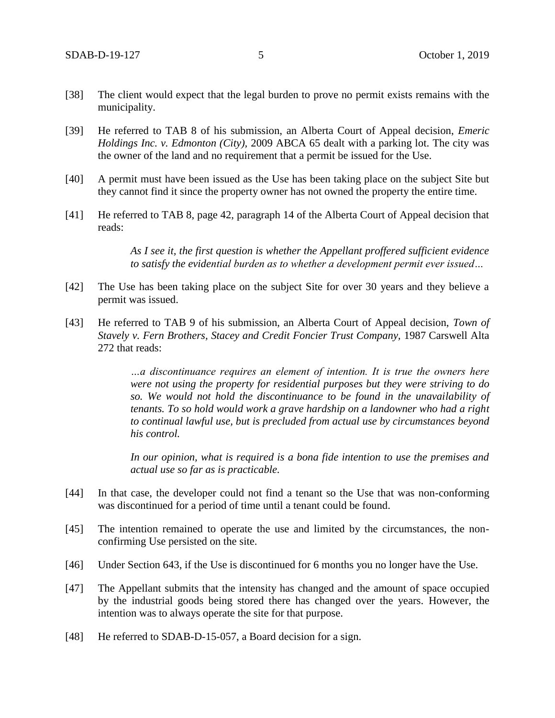- [38] The client would expect that the legal burden to prove no permit exists remains with the municipality.
- [39] He referred to TAB 8 of his submission, an Alberta Court of Appeal decision, *Emeric Holdings Inc. v. Edmonton (City),* 2009 ABCA 65 dealt with a parking lot. The city was the owner of the land and no requirement that a permit be issued for the Use.
- [40] A permit must have been issued as the Use has been taking place on the subject Site but they cannot find it since the property owner has not owned the property the entire time.
- [41] He referred to TAB 8, page 42, paragraph 14 of the Alberta Court of Appeal decision that reads:

*As I see it, the first question is whether the Appellant proffered sufficient evidence to satisfy the evidential burden as to whether a development permit ever issued…*

- [42] The Use has been taking place on the subject Site for over 30 years and they believe a permit was issued.
- [43] He referred to TAB 9 of his submission, an Alberta Court of Appeal decision, *Town of Stavely v. Fern Brothers, Stacey and Credit Foncier Trust Company,* 1987 Carswell Alta 272 that reads:

*…a discontinuance requires an element of intention. It is true the owners here were not using the property for residential purposes but they were striving to do so. We would not hold the discontinuance to be found in the unavailability of tenants. To so hold would work a grave hardship on a landowner who had a right to continual lawful use, but is precluded from actual use by circumstances beyond his control.* 

*In our opinion, what is required is a bona fide intention to use the premises and actual use so far as is practicable.*

- [44] In that case, the developer could not find a tenant so the Use that was non-conforming was discontinued for a period of time until a tenant could be found.
- [45] The intention remained to operate the use and limited by the circumstances, the nonconfirming Use persisted on the site.
- [46] Under Section 643, if the Use is discontinued for 6 months you no longer have the Use.
- [47] The Appellant submits that the intensity has changed and the amount of space occupied by the industrial goods being stored there has changed over the years. However, the intention was to always operate the site for that purpose.
- [48] He referred to SDAB-D-15-057, a Board decision for a sign.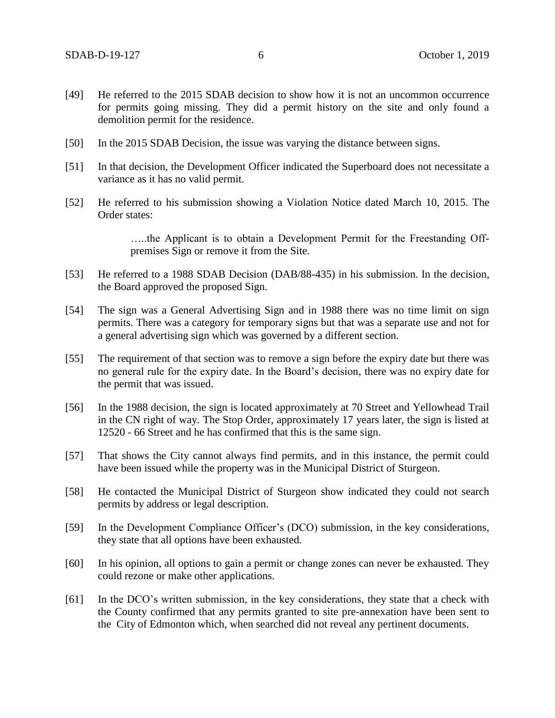- [49] He referred to the 2015 SDAB decision to show how it is not an uncommon occurrence for permits going missing. They did a permit history on the site and only found a demolition permit for the residence.
- [50] In the 2015 SDAB Decision, the issue was varying the distance between signs.
- [51] In that decision, the Development Officer indicated the Superboard does not necessitate a variance as it has no valid permit.
- [52] He referred to his submission showing a Violation Notice dated March 10, 2015. The Order states:

…..the Applicant is to obtain a Development Permit for the Freestanding Offpremises Sign or remove it from the Site.

- [53] He referred to a 1988 SDAB Decision (DAB/88-435) in his submission. In the decision, the Board approved the proposed Sign.
- [54] The sign was a General Advertising Sign and in 1988 there was no time limit on sign permits. There was a category for temporary signs but that was a separate use and not for a general advertising sign which was governed by a different section.
- [55] The requirement of that section was to remove a sign before the expiry date but there was no general rule for the expiry date. In the Board's decision, there was no expiry date for the permit that was issued.
- [56] In the 1988 decision, the sign is located approximately at 70 Street and Yellowhead Trail in the CN right of way. The Stop Order, approximately 17 years later, the sign is listed at 12520 - 66 Street and he has confirmed that this is the same sign.
- [57] That shows the City cannot always find permits, and in this instance, the permit could have been issued while the property was in the Municipal District of Sturgeon.
- [58] He contacted the Municipal District of Sturgeon show indicated they could not search permits by address or legal description.
- [59] In the Development Compliance Officer's (DCO) submission, in the key considerations, they state that all options have been exhausted.
- [60] In his opinion, all options to gain a permit or change zones can never be exhausted. They could rezone or make other applications.
- [61] In the DCO's written submission, in the key considerations, they state that a check with the County confirmed that any permits granted to site pre-annexation have been sent to the City of Edmonton which, when searched did not reveal any pertinent documents.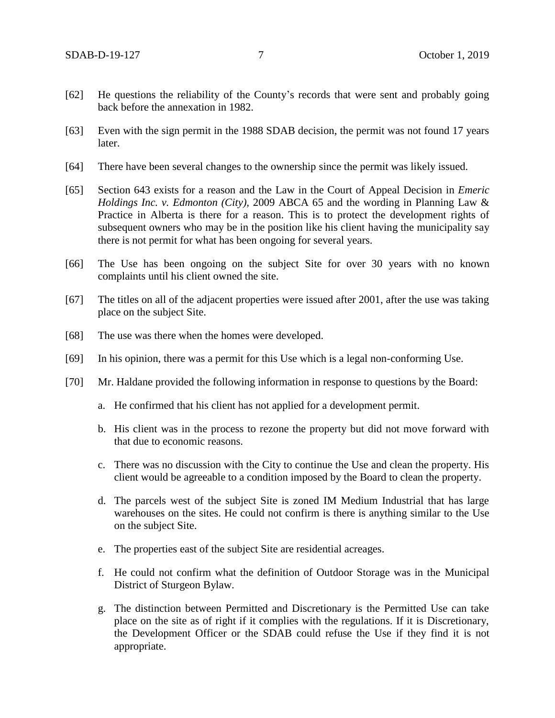- [62] He questions the reliability of the County's records that were sent and probably going back before the annexation in 1982.
- [63] Even with the sign permit in the 1988 SDAB decision, the permit was not found 17 years later.
- [64] There have been several changes to the ownership since the permit was likely issued.
- [65] Section 643 exists for a reason and the Law in the Court of Appeal Decision in *Emeric Holdings Inc. v. Edmonton (City),* 2009 ABCA 65 and the wording in Planning Law & Practice in Alberta is there for a reason. This is to protect the development rights of subsequent owners who may be in the position like his client having the municipality say there is not permit for what has been ongoing for several years.
- [66] The Use has been ongoing on the subject Site for over 30 years with no known complaints until his client owned the site.
- [67] The titles on all of the adjacent properties were issued after 2001, after the use was taking place on the subject Site.
- [68] The use was there when the homes were developed.
- [69] In his opinion, there was a permit for this Use which is a legal non-conforming Use.
- [70] Mr. Haldane provided the following information in response to questions by the Board:
	- a. He confirmed that his client has not applied for a development permit.
	- b. His client was in the process to rezone the property but did not move forward with that due to economic reasons.
	- c. There was no discussion with the City to continue the Use and clean the property. His client would be agreeable to a condition imposed by the Board to clean the property.
	- d. The parcels west of the subject Site is zoned IM Medium Industrial that has large warehouses on the sites. He could not confirm is there is anything similar to the Use on the subject Site.
	- e. The properties east of the subject Site are residential acreages.
	- f. He could not confirm what the definition of Outdoor Storage was in the Municipal District of Sturgeon Bylaw.
	- g. The distinction between Permitted and Discretionary is the Permitted Use can take place on the site as of right if it complies with the regulations. If it is Discretionary, the Development Officer or the SDAB could refuse the Use if they find it is not appropriate.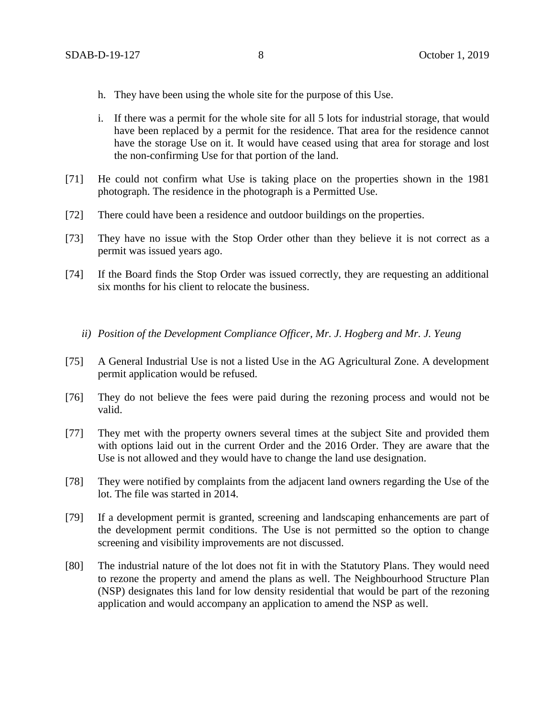- h. They have been using the whole site for the purpose of this Use.
- i. If there was a permit for the whole site for all 5 lots for industrial storage, that would have been replaced by a permit for the residence. That area for the residence cannot have the storage Use on it. It would have ceased using that area for storage and lost the non-confirming Use for that portion of the land.
- [71] He could not confirm what Use is taking place on the properties shown in the 1981 photograph. The residence in the photograph is a Permitted Use.
- [72] There could have been a residence and outdoor buildings on the properties.
- [73] They have no issue with the Stop Order other than they believe it is not correct as a permit was issued years ago.
- [74] If the Board finds the Stop Order was issued correctly, they are requesting an additional six months for his client to relocate the business.
	- *ii) Position of the Development Compliance Officer, Mr. J. Hogberg and Mr. J. Yeung*
- [75] A General Industrial Use is not a listed Use in the AG Agricultural Zone. A development permit application would be refused.
- [76] They do not believe the fees were paid during the rezoning process and would not be valid.
- [77] They met with the property owners several times at the subject Site and provided them with options laid out in the current Order and the 2016 Order. They are aware that the Use is not allowed and they would have to change the land use designation.
- [78] They were notified by complaints from the adjacent land owners regarding the Use of the lot. The file was started in 2014.
- [79] If a development permit is granted, screening and landscaping enhancements are part of the development permit conditions. The Use is not permitted so the option to change screening and visibility improvements are not discussed.
- [80] The industrial nature of the lot does not fit in with the Statutory Plans. They would need to rezone the property and amend the plans as well. The Neighbourhood Structure Plan (NSP) designates this land for low density residential that would be part of the rezoning application and would accompany an application to amend the NSP as well.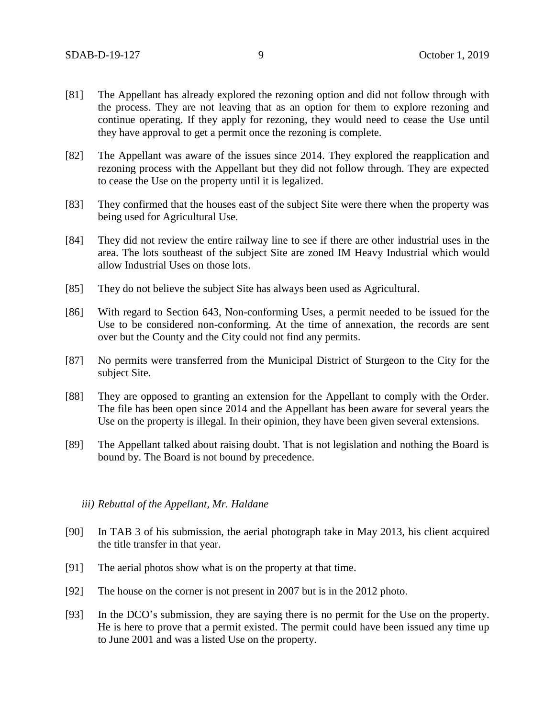- [81] The Appellant has already explored the rezoning option and did not follow through with the process. They are not leaving that as an option for them to explore rezoning and continue operating. If they apply for rezoning, they would need to cease the Use until they have approval to get a permit once the rezoning is complete.
- [82] The Appellant was aware of the issues since 2014. They explored the reapplication and rezoning process with the Appellant but they did not follow through. They are expected to cease the Use on the property until it is legalized.
- [83] They confirmed that the houses east of the subject Site were there when the property was being used for Agricultural Use.
- [84] They did not review the entire railway line to see if there are other industrial uses in the area. The lots southeast of the subject Site are zoned IM Heavy Industrial which would allow Industrial Uses on those lots.
- [85] They do not believe the subject Site has always been used as Agricultural.
- [86] With regard to Section 643, Non-conforming Uses, a permit needed to be issued for the Use to be considered non-conforming. At the time of annexation, the records are sent over but the County and the City could not find any permits.
- [87] No permits were transferred from the Municipal District of Sturgeon to the City for the subject Site.
- [88] They are opposed to granting an extension for the Appellant to comply with the Order. The file has been open since 2014 and the Appellant has been aware for several years the Use on the property is illegal. In their opinion, they have been given several extensions.
- [89] The Appellant talked about raising doubt. That is not legislation and nothing the Board is bound by. The Board is not bound by precedence.

#### *iii) Rebuttal of the Appellant, Mr. Haldane*

- [90] In TAB 3 of his submission, the aerial photograph take in May 2013, his client acquired the title transfer in that year.
- [91] The aerial photos show what is on the property at that time.
- [92] The house on the corner is not present in 2007 but is in the 2012 photo.
- [93] In the DCO's submission, they are saying there is no permit for the Use on the property. He is here to prove that a permit existed. The permit could have been issued any time up to June 2001 and was a listed Use on the property.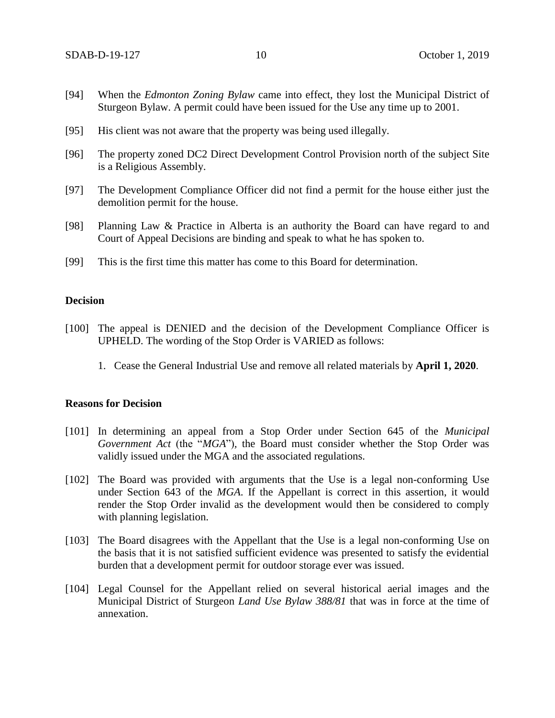- [94] When the *Edmonton Zoning Bylaw* came into effect, they lost the Municipal District of Sturgeon Bylaw. A permit could have been issued for the Use any time up to 2001.
- [95] His client was not aware that the property was being used illegally.
- [96] The property zoned DC2 Direct Development Control Provision north of the subject Site is a Religious Assembly.
- [97] The Development Compliance Officer did not find a permit for the house either just the demolition permit for the house.
- [98] Planning Law & Practice in Alberta is an authority the Board can have regard to and Court of Appeal Decisions are binding and speak to what he has spoken to.
- [99] This is the first time this matter has come to this Board for determination.

## **Decision**

- [100] The appeal is DENIED and the decision of the Development Compliance Officer is UPHELD. The wording of the Stop Order is VARIED as follows:
	- 1. Cease the General Industrial Use and remove all related materials by **April 1, 2020**.

#### **Reasons for Decision**

- [101] In determining an appeal from a Stop Order under Section 645 of the *Municipal Government Act* (the "*MGA*")*,* the Board must consider whether the Stop Order was validly issued under the MGA and the associated regulations.
- [102] The Board was provided with arguments that the Use is a legal non-conforming Use under Section 643 of the *MGA*. If the Appellant is correct in this assertion, it would render the Stop Order invalid as the development would then be considered to comply with planning legislation.
- [103] The Board disagrees with the Appellant that the Use is a legal non-conforming Use on the basis that it is not satisfied sufficient evidence was presented to satisfy the evidential burden that a development permit for outdoor storage ever was issued.
- [104] Legal Counsel for the Appellant relied on several historical aerial images and the Municipal District of Sturgeon *Land Use Bylaw 388/81* that was in force at the time of annexation.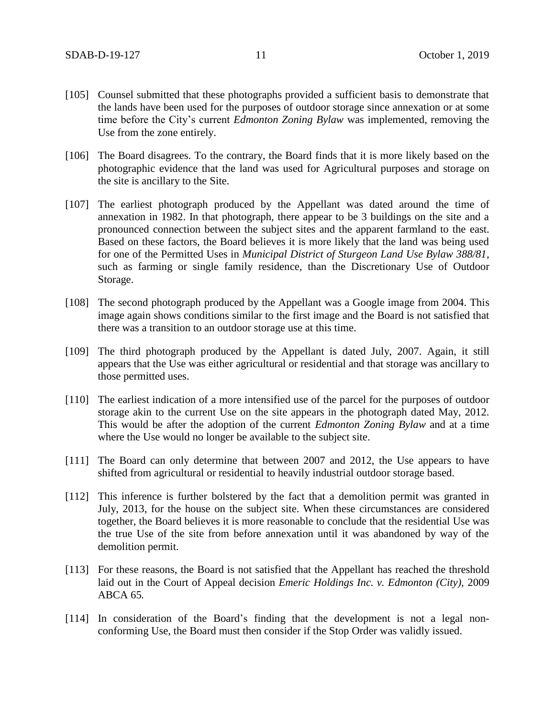- [105] Counsel submitted that these photographs provided a sufficient basis to demonstrate that the lands have been used for the purposes of outdoor storage since annexation or at some time before the City's current *Edmonton Zoning Bylaw* was implemented, removing the Use from the zone entirely.
- [106] The Board disagrees. To the contrary, the Board finds that it is more likely based on the photographic evidence that the land was used for Agricultural purposes and storage on the site is ancillary to the Site.
- [107] The earliest photograph produced by the Appellant was dated around the time of annexation in 1982. In that photograph, there appear to be 3 buildings on the site and a pronounced connection between the subject sites and the apparent farmland to the east. Based on these factors, the Board believes it is more likely that the land was being used for one of the Permitted Uses in *Municipal District of Sturgeon Land Use Bylaw 388/81,* such as farming or single family residence, than the Discretionary Use of Outdoor Storage.
- [108] The second photograph produced by the Appellant was a Google image from 2004. This image again shows conditions similar to the first image and the Board is not satisfied that there was a transition to an outdoor storage use at this time.
- [109] The third photograph produced by the Appellant is dated July, 2007. Again, it still appears that the Use was either agricultural or residential and that storage was ancillary to those permitted uses.
- [110] The earliest indication of a more intensified use of the parcel for the purposes of outdoor storage akin to the current Use on the site appears in the photograph dated May, 2012. This would be after the adoption of the current *Edmonton Zoning Bylaw* and at a time where the Use would no longer be available to the subject site.
- [111] The Board can only determine that between 2007 and 2012, the Use appears to have shifted from agricultural or residential to heavily industrial outdoor storage based.
- [112] This inference is further bolstered by the fact that a demolition permit was granted in July, 2013, for the house on the subject site. When these circumstances are considered together, the Board believes it is more reasonable to conclude that the residential Use was the true Use of the site from before annexation until it was abandoned by way of the demolition permit.
- [113] For these reasons, the Board is not satisfied that the Appellant has reached the threshold laid out in the Court of Appeal decision *Emeric Holdings Inc. v. Edmonton (City),* 2009 ABCA 65*.*
- [114] In consideration of the Board's finding that the development is not a legal nonconforming Use, the Board must then consider if the Stop Order was validly issued.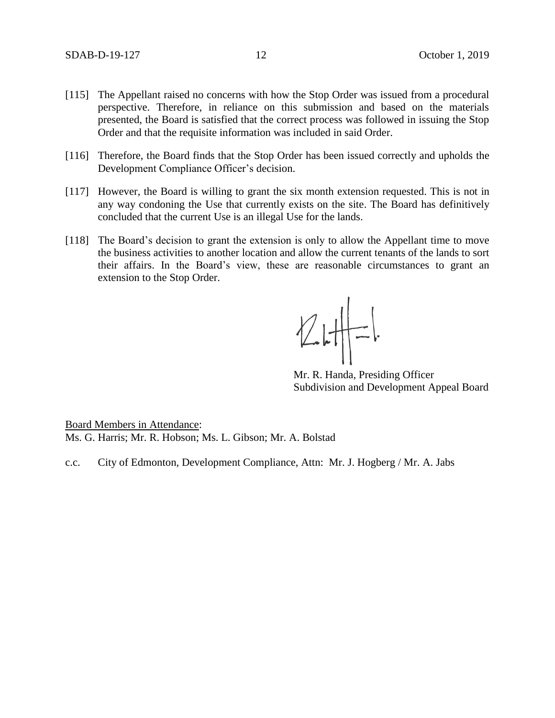- [115] The Appellant raised no concerns with how the Stop Order was issued from a procedural perspective. Therefore, in reliance on this submission and based on the materials presented, the Board is satisfied that the correct process was followed in issuing the Stop Order and that the requisite information was included in said Order.
- [116] Therefore, the Board finds that the Stop Order has been issued correctly and upholds the Development Compliance Officer's decision.
- [117] However, the Board is willing to grant the six month extension requested. This is not in any way condoning the Use that currently exists on the site. The Board has definitively concluded that the current Use is an illegal Use for the lands.
- [118] The Board's decision to grant the extension is only to allow the Appellant time to move the business activities to another location and allow the current tenants of the lands to sort their affairs. In the Board's view, these are reasonable circumstances to grant an extension to the Stop Order.

 $2H-1$ 

Mr. R. Handa, Presiding Officer Subdivision and Development Appeal Board

Board Members in Attendance: Ms. G. Harris; Mr. R. Hobson; Ms. L. Gibson; Mr. A. Bolstad

c.c. City of Edmonton, Development Compliance, Attn: Mr. J. Hogberg / Mr. A. Jabs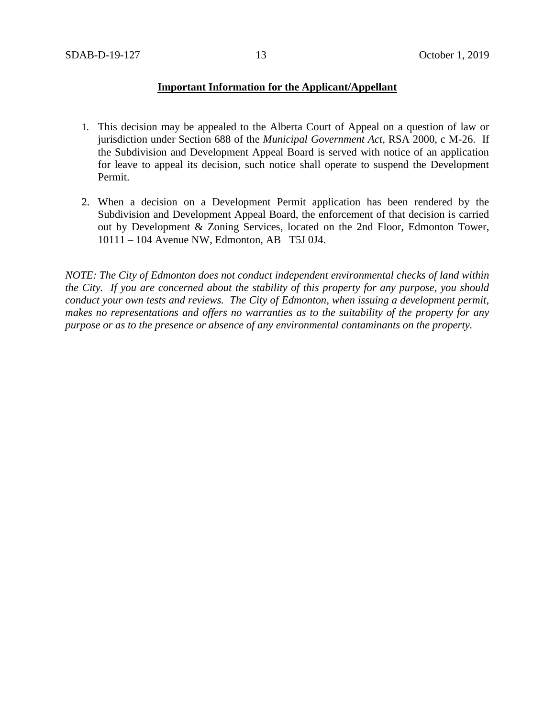## **Important Information for the Applicant/Appellant**

- 1. This decision may be appealed to the Alberta Court of Appeal on a question of law or jurisdiction under Section 688 of the *Municipal Government Act*, RSA 2000, c M-26. If the Subdivision and Development Appeal Board is served with notice of an application for leave to appeal its decision, such notice shall operate to suspend the Development Permit.
- 2. When a decision on a Development Permit application has been rendered by the Subdivision and Development Appeal Board, the enforcement of that decision is carried out by Development & Zoning Services, located on the 2nd Floor, Edmonton Tower, 10111 – 104 Avenue NW, Edmonton, AB T5J 0J4.

*NOTE: The City of Edmonton does not conduct independent environmental checks of land within the City. If you are concerned about the stability of this property for any purpose, you should conduct your own tests and reviews. The City of Edmonton, when issuing a development permit, makes no representations and offers no warranties as to the suitability of the property for any purpose or as to the presence or absence of any environmental contaminants on the property.*